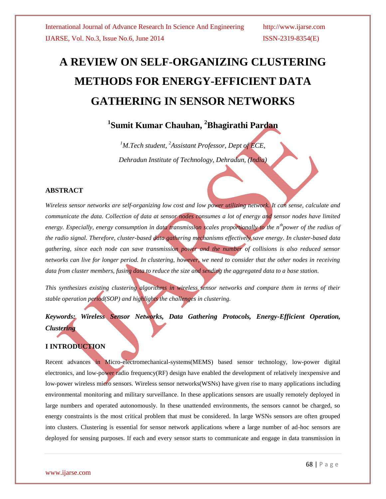# **A REVIEW ON SELF-ORGANIZING CLUSTERING METHODS FOR ENERGY-EFFICIENT DATA GATHERING IN SENSOR NETWORKS**

# **1 Sumit Kumar Chauhan, <sup>2</sup>Bhagirathi Pardan**

*<sup>1</sup>M.Tech student, <sup>2</sup>Assistant Professor, Dept of ECE, Dehradun Institute of Technology, Dehradun, (India)*

### **ABSTRACT**

*Wireless sensor networks are self-organizing low cost and low power utilizing network. It can sense, calculate and communicate the data. Collection of data at sensor nodes consumes a lot of energy and sensor nodes have limited energy. Especially, energy consumption in data transmission scales proportionally to the nthpower of the radius of the radio signal. Therefore, cluster-based data gathering mechanisms effectively save energy. In cluster-based data gathering, since each node can save transmission power and the number of collisions is also reduced sensor networks can live for longer period. In clustering, however, we need to consider that the other nodes in receiving data from cluster members, fusing data to reduce the size and sending the aggregated data to a base station.*

*This synthesizes existing clustering algorithms in wireless sensor networks and compare them in terms of their stable operation period(SOP) and highlights the challenges in clustering.*

*Keywords: Wireless Sensor Networks, Data Gathering Protocols, Energy-Efficient Operation, Clustering*

# **I INTRODUCTION**

Recent advances in Micro-electromechanical-systems(MEMS) based sensor technology, low-power digital electronics, and low-power radio frequency(RF) design have enabled the development of relatively inexpensive and low-power wireless micro sensors. Wireless sensor networks(WSNs) have given rise to many applications including environmental monitoring and military surveillance. In these applications sensors are usually remotely deployed in large numbers and operated autonomously. In these unattended environments, the sensors cannot be charged, so energy constraints is the most critical problem that must be considered. In large WSNs sensors are often grouped into clusters. Clustering is essential for sensor network applications where a large number of ad-hoc sensors are deployed for sensing purposes. If each and every sensor starts to communicate and engage in data transmission in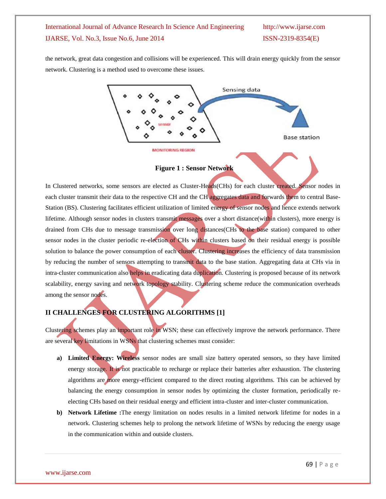the network, great data congestion and collisions will be experienced. This will drain energy quickly from the sensor network. Clustering is a method used to overcome these issues.



**Figure 1 : Sensor Network**

In Clustered networks, some sensors are elected as Cluster-Heads(CHs) for each cluster created. Sensor nodes in each cluster transmit their data to the respective CH and the CH aggregates data and forwards them to central Base-Station (BS). Clustering facilitates efficient utilization of limited energy of sensor nodes and hence extends network lifetime. Although sensor nodes in clusters transmit messages over a short distance(within clusters), more energy is drained from CHs due to message transmission over long distances(CHs to the base station) compared to other sensor nodes in the cluster periodic re-election of CHs within clusters based on their residual energy is possible solution to balance the power consumption of each cluster. Clustering increases the efficiency of data transmission by reducing the number of sensors attempting to transmit data to the base station. Aggregating data at CHs via in intra-cluster communication also helps in eradicating data duplication. Clustering is proposed because of its network scalability, energy saving and network topology stability. Clustering scheme reduce the communication overheads among the sensor nodes.

# **II CHALLENGES FOR CLUSTERING ALGORITHMS [1]**

Clustering schemes play an important role in WSN; these can effectively improve the network performance. There are several key limitations in WSNs that clustering schemes must consider:

- **a) Limited Energy: Wireless** sensor nodes are small size battery operated sensors, so they have limited energy storage. It is not practicable to recharge or replace their batteries after exhaustion. The clustering algorithms are more energy-efficient compared to the direct routing algorithms. This can be achieved by balancing the energy consumption in sensor nodes by optimizing the cluster formation, periodically reelecting CHs based on their residual energy and efficient intra-cluster and inter-cluster communication.
- **b) Network Lifetime :**The energy limitation on nodes results in a limited network lifetime for nodes in a network. Clustering schemes help to prolong the network lifetime of WSNs by reducing the energy usage in the communication within and outside clusters.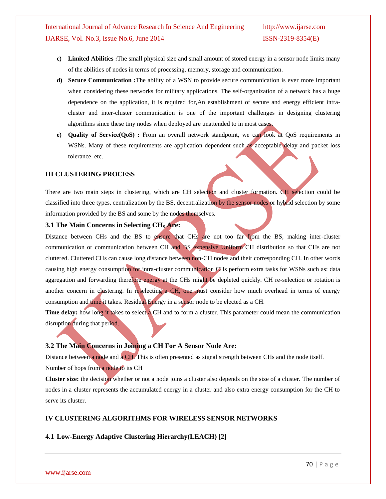- **c) Limited Abilities :**The small physical size and small amount of stored energy in a sensor node limits many of the abilities of nodes in terms of processing, memory, storage and communication.
- **d) Secure Communication :**The ability of a WSN to provide secure communication is ever more important when considering these networks for military applications. The self-organization of a network has a huge dependence on the application, it is required for,An establishment of secure and energy efficient intracluster and inter-cluster communication is one of the important challenges in designing clustering algorithms since these tiny nodes when deployed are unattended to in most cases.
- **e) Quality of Service(QoS) :** From an overall network standpoint, we can look at QoS requirements in WSNs. Many of these requirements are application dependent such as acceptable delay and packet loss tolerance, etc.

#### **III CLUSTERING PROCESS**

There are two main steps in clustering, which are CH selection and cluster formation. CH selection could be classified into three types, centralization by the BS, decentralization by the sensor nodes or hybrid selection by some information provided by the BS and some by the nodes themselves.

#### **3.1 The Main Concerns in Selecting CH<sup>S</sup> Are:**

Distance between CHs and the BS to ensure that CHs are not too far from the BS, making inter-cluster communication or communication between CH and BS expensive Uniform CH distribution so that CHs are not cluttered. Cluttered CHs can cause long distance between non-CH nodes and their corresponding CH. In other words causing high energy consumption for intra-cluster communication CHs perform extra tasks for WSNs such as: data aggregation and forwarding therefore energy at the CHs might be depleted quickly. CH re-selection or rotation is another concern in clustering. In reselecting a CH, one must consider how much overhead in terms of energy consumption and time it takes. Residual Energy in a sensor node to be elected as a CH.

**Time delay:** how long it takes to select a CH and to form a cluster. This parameter could mean the communication disruption during that period.

#### **3.2 The Main Concerns in Joining a CH For A Sensor Node Are:**

Distance between a node and a CH. This is often presented as signal strength between CHs and the node itself. Number of hops from a node to its CH

**Cluster size:** the decision whether or not a node joins a cluster also depends on the size of a cluster. The number of nodes in a cluster represents the accumulated energy in a cluster and also extra energy consumption for the CH to serve its cluster.

### **IV CLUSTERING ALGORITHMS FOR WIRELESS SENSOR NETWORKS**

### **4.1 Low-Energy Adaptive Clustering Hierarchy(LEACH) [2]**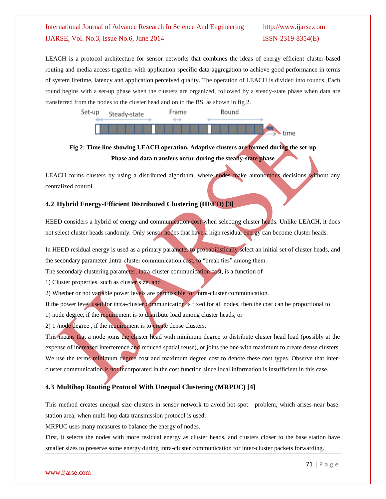LEACH is a protocol architecture for sensor networks that combines the ideas of energy efficient cluster-based routing and media access together with application specific data-aggregation to achieve good performance in terms of system lifetime, latency and application perceived quality. The operation of LEACH is divided into rounds. Each round begins with a set-up phase when the clusters are organized, followed by a steady-state phase when data are transferred from the nodes to the cluster head and on to the BS, as shown in fig 2.



# **Fig 2: Time line showing LEACH operation. Adaptive clusters are formed during the set-up Phase and data transfers occur during the steady-state phase**

LEACH forms clusters by using a distributed algorithm, where nodes make autonomous decisions without any centralized control.

# **4.2 Hybrid Energy-Efficient Distributed Clustering (HEED) [3]**

HEED considers a hybrid of energy and communication cost when selecting cluster heads. Unlike LEACH, it does not select cluster heads randomly. Only sensor nodes that have a high residual energy can become cluster heads.

In HEED residual energy is used as a primary parameter to probabilistically select an initial set of cluster heads, and the secondary parameter ,intra-cluster communication cost, to "break ties" among them.

The secondary clustering parameter, intra-cluster communication cost, is a function of

1) Cluster properties, such as cluster size, and

2) Whether or not variable power levels are permissible for intra-cluster communication.

If the power level used for intra-cluster communication is fixed for all nodes, then the cost can be proportional to

1) node degree, if the requirement is to distribute load among cluster heads, or

2) 1 /node degree , if the requirement is to create dense clusters.

This means that a node joins the cluster head with minimum degree to distribute cluster head load (possibly at the expense of increased interference and reduced spatial reuse), or joins the one with maximum to create dense clusters. We use the terms minimum degree cost and maximum degree cost to denote these cost types. Observe that intercluster communication is not incorporated in the cost function since local information is insufficient in this case.

# **4.3 Multihop Routing Protocol With Unequal Clustering (MRPUC) [4]**

This method creates unequal size clusters in sensor network to avoid hot-spot problem, which arises near basestation area, when multi-hop data transmission protocol is used.

MRPUC uses many measures to balance the energy of nodes.

First, it selects the nodes with more residual energy as cluster heads, and clusters closer to the base station have smaller sizes to preserve some energy during intra-cluster communication for inter-cluster packets forwarding.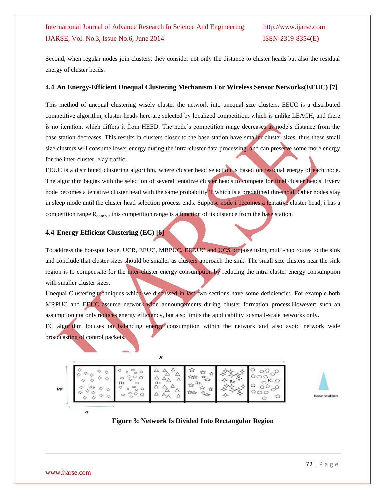Second, when regular nodes join clusters, they consider not only the distance to cluster heads but also the residual energy of cluster heads.

#### **4.4 An Energy-Efficient Unequal Clustering Mechanism For Wireless Sensor Networks(EEUC) [7]**

This method of unequal clustering wisely cluster the network into unequal size clusters. EEUC is a distributed competitive algorithm, cluster heads here are selected by localized competition, which is unlike LEACH, and there is no iteration, which differs it from HEED. The node's competition range decreases as node's distance from the base station decreases. This results in clusters closer to the base station have smaller cluster sizes, thus these small size clusters will consume lower energy during the intra-cluster data processing, and can preserve some more energy for the inter-cluster relay traffic.

EEUC is a distributed clustering algorithm, where cluster head selection is based on residual energy of each node. The algorithm begins with the selection of several tentative cluster heads to compete for final cluster heads. Every node becomes a tentative cluster head with the same probability T which is a predefined threshold. Other nodes stay in sleep mode until the cluster head selection process ends. Suppose node i becomes a tentative cluster head, i has a competition range  $R_{\text{comp}}$ , this competition range is a function of its distance from the base station.

### **4.4 Energy Efficient Clustering (EC) [6]**

To address the hot-spot issue, UCR, EEUC, MRPUC, EEDUC and UCS propose using multi-hop routes to the sink and conclude that cluster sizes should be smaller as clusters approach the sink. The small size clusters near the sink region is to compensate for the inter-cluster energy consumption by reducing the intra cluster energy consumption with smaller cluster sizes.

Unequal Clustering techniques which we discussed in last two sections have some deficiencies. For example both MRPUC and EEUC assume network-wide announcements during cluster formation process.However; such an assumption not only reduces energy efficiency, but also limits the applicability to small-scale networks only.

EC algorithm focuses on balancing energy consumption within the network and also avoid network wide broadcasting of control packets.

| w | Rs | ч. |  |  |  |
|---|----|----|--|--|--|
|---|----|----|--|--|--|

×



# **Figure 3: Network Is Divided Into Rectangular Region**

 $\sigma$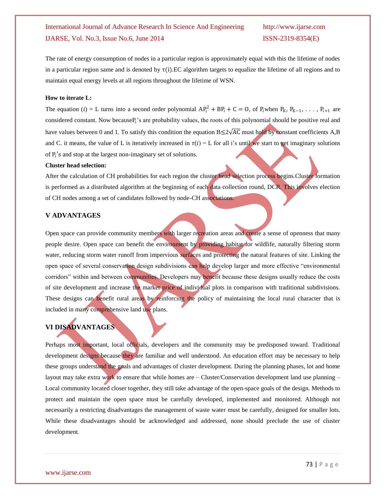The rate of energy consumption of nodes in a particular region is approximately equal with this the lifetime of nodes in a particular region same and is denoted by  $\tau(i)$ . EC algorithm targets to equalize the lifetime of all regions and to maintain equal energy levels at all regions throughout the lifetime of WSN.

#### **How to iterate L:**

The equation (*i*) = L turns into a second order polynomial  $AP_i^2 + BP_i + C = 0$ , of  $P_i$ when  $P_K$ ,  $P_{K-1}$ , ...,  $P_{i+1}$  are considered constant. Now because P<sub>i</sub>'s are probability values, the roots of this polynomial should be positive real and have values between 0 and 1. To satisfy this condition the equation  $B \le 2\sqrt{AC}$  must hold by constant coefficients A,B and C. it means, the value of L is iteratively increased in  $\tau(i) = L$  for all i's until we start to get imaginary solutions of  $P_i$ 's and stop at the largest non-imaginary set of solutions.

#### **Cluster head selection:**

After the calculation of CH probabilities for each region the cluster head selection process begins.Cluster formation is performed as a distributed algorithm at the beginning of each data collection round, DCR. This involves election of CH nodes among a set of candidates followed by node-CH associations.

#### **V ADVANTAGES**

Open space can provide community members with larger recreation areas and create a sense of openness that many people desire. Open space can benefit the environment by providing habitat for wildlife, naturally filtering storm water, reducing storm water runoff from impervious surfaces and protecting the natural features of site. Linking the open space of several conservation design subdivisions can help develop larger and more effective "environmental corridors" within and between communities. Developers may benefit because these designs usually reduce the costs of site development and increase the market price of individual plots in comparison with traditional subdivisions. These designs can benefit rural areas by reinforcing the policy of maintaining the local rural character that is included in many comprehensive land use plans.

# **VI DISADVANTAGES**

Perhaps most important, local officials, developers and the community may be predisposed toward. Traditional development designs because they are familiar and well understood. An education effort may be necessary to help these groups understand the goals and advantages of cluster development. During the planning phases, lot and home layout may take extra work to ensure that while homes are – Cluster/Conservation development land use planning – Local community located closer together, they still take advantage of the open-space goals of the design. Methods to protect and maintain the open space must be carefully developed, implemented and monitored. Although not necessarily a restricting disadvantages the management of waste water must be carefully, designed for smaller lots. While these disadvantages should be acknowledged and addressed, none should preclude the use of cluster development.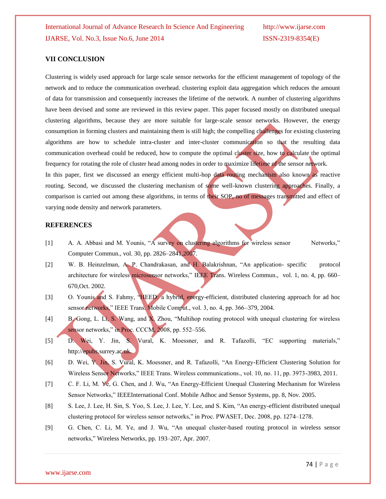#### **VII CONCLUSION**

Clustering is widely used approach for large scale sensor networks for the efficient management of topology of the network and to reduce the communication overhead. clustering exploit data aggregation which reduces the amount of data for transmission and consequently increases the lifetime of the network. A number of clustering algorithms have been devised and some are reviewed in this review paper. This paper focused mostly on distributed unequal clustering algorithms, because they are more suitable for large-scale sensor networks. However, the energy consumption in forming clusters and maintaining them is still high; the compelling challenges for existing clustering algorithms are how to schedule intra-cluster and inter-cluster communication so that the resulting data communication overhead could be reduced, how to compute the optimal cluster size, how to calculate the optimal frequency for rotating the role of cluster head among nodes in order to maximize lifetime of the sensor network.

In this paper, first we discussed an energy efficient multi-hop data routing mechanism also known as reactive routing. Second, we discussed the clustering mechanism of some well-known clustering approaches. Finally, a comparison is carried out among these algorithms, in terms of their SOP, no of messages transmitted and effect of varying node density and network parameters.

#### **REFERENCES**

- [1] A. A. Abbasi and M. Younis, "A survey on clustering algorithms for wireless sensor Networks," Computer Commun., vol. 30, pp. 2826–2841,2007.
- [2] W. B. Heinzelman, A. P. Chandrakasan, and H. Balakrishnan, "An application- specific protocol architecture for wireless microsensor networks," IEEE Trans. Wireless Commun., vol. 1, no. 4, pp. 660– 670,Oct. 2002.
- [3] O. Younis and S. Fahmy, "HEED: a hybrid, energy-efficient, distributed clustering approach for ad hoc sensor networks," IEEE Trans. Mobile Comput., vol. 3, no. 4, pp. 366–379, 2004.
- [4] B. Gong, L. Li, S. Wang, and X. Zhou, "Multihop routing protocol with unequal clustering for wireless sensor networks," in Proc. CCCM, 2008, pp. 552-556.
- [5] D. Wei, Y. Jin, S. Vural, K. Moessner, and R. Tafazolli, "EC supporting materials," http://epubs.surrey.ac.uk.
- [6] D. Wei, Y. Jin, S. Vural, K. Moessner, and R. Tafazolli, "An Energy-Efficient Clustering Solution for Wireless Sensor Networks," IEEE Trans. Wireless communications., vol. 10, no. 11, pp. 3973-3983, 2011.
- [7] C. F. Li, M. Ye, G. Chen, and J. Wu, "An Energy-Efficient Unequal Clustering Mechanism for Wireless Sensor Networks," IEEEInternational Conf. Mobile Adhoc and Sensor Systems, pp. 8, Nov. 2005.
- [8] S. Lee, J. Lee, H. Sin, S. Yoo, S. Lee, J. Lee, Y. Lee, and S. Kim, "An energy-efficient distributed unequal clustering protocol for wireless sensor networks," in Proc. PWASET, Dec. 2008, pp. 1274–1278.
- [9] G. Chen, C. Li, M. Ye, and J. Wu, "An unequal cluster-based routing protocol in wireless sensor networks," Wireless Networks, pp. 193–207, Apr. 2007.